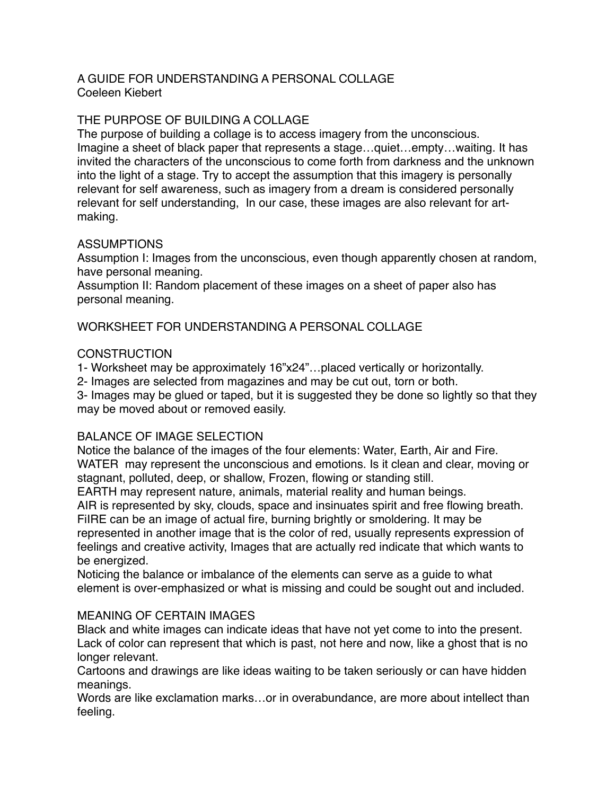### A GUIDE FOR UNDERSTANDING A PERSONAL COLLAGE Coeleen Kiebert

### THE PURPOSE OF BUILDING A COLLAGE

The purpose of building a collage is to access imagery from the unconscious. Imagine a sheet of black paper that represents a stage…quiet…empty…waiting. It has invited the characters of the unconscious to come forth from darkness and the unknown into the light of a stage. Try to accept the assumption that this imagery is personally relevant for self awareness, such as imagery from a dream is considered personally relevant for self understanding, In our case, these images are also relevant for artmaking.

## ASSUMPTIONS

Assumption I: Images from the unconscious, even though apparently chosen at random, have personal meaning.

Assumption II: Random placement of these images on a sheet of paper also has personal meaning.

WORKSHEET FOR UNDERSTANDING A PERSONAL COLLAGE

## **CONSTRUCTION**

1- Worksheet may be approximately 16"x24"…placed vertically or horizontally.

2- Images are selected from magazines and may be cut out, torn or both.

3- Images may be glued or taped, but it is suggested they be done so lightly so that they may be moved about or removed easily.

# BALANCE OF IMAGE SELECTION

Notice the balance of the images of the four elements: Water, Earth, Air and Fire. WATER may represent the unconscious and emotions. Is it clean and clear, moving or stagnant, polluted, deep, or shallow, Frozen, flowing or standing still.

EARTH may represent nature, animals, material reality and human beings.

AIR is represented by sky, clouds, space and insinuates spirit and free flowing breath.

FiIRE can be an image of actual fire, burning brightly or smoldering. It may be represented in another image that is the color of red, usually represents expression of feelings and creative activity, Images that are actually red indicate that which wants to be energized.

Noticing the balance or imbalance of the elements can serve as a guide to what element is over-emphasized or what is missing and could be sought out and included.

# MEANING OF CERTAIN IMAGES

Black and white images can indicate ideas that have not yet come to into the present. Lack of color can represent that which is past, not here and now, like a ghost that is no longer relevant.

Cartoons and drawings are like ideas waiting to be taken seriously or can have hidden meanings.

Words are like exclamation marks…or in overabundance, are more about intellect than feeling.